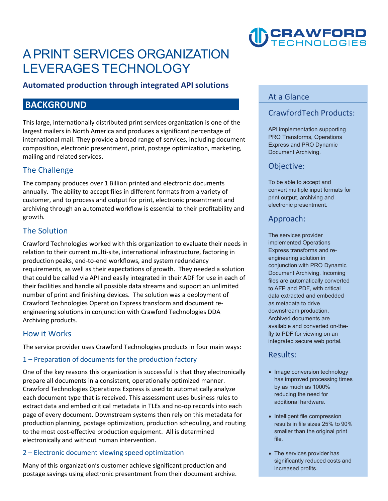# **A PRINT SERVICES ORGANIZATION LEVERAGES TECHNOLOGY**

## **Automated production through integrated API solutions**

# **BACKGROUND**

**This large, internationally distributed print services organization is one of the largest mailers in North America and produces a significant percentage of international mail. They provide a broad range of services, including document composition, electronic presentment, print, postage optimization, marketing, mailing and related services.** 

# **The Challenge**

**The company produces over 1 Billion printed and electronic documents annually. The ability to accept files in different formats from a variety of customer, and to process and output for print, electronic presentment and archiving through an automated workflow is essential to their profitability and growth.** 

# **The Solution**

 **number of print and finishing devices. The solution was a deployment of Crawford Technologies worked with this organization to evaluate their needs in relation to their current multi-site, international infrastructure, factoring in production peaks, end-to-end workflows, and system redundancy requirements, as well as their expectations of growth. They needed a solution that could be called via API and easily integrated in their ADF for use in each of their facilities and handle all possible data streams and support an unlimited Crawford Technologies Operation Express transform and document reengineering solutions in conjunction with Crawford Technologies DDA Archiving products.** 

### **How it Works**

 **The service provider uses Crawford Technologies products in four main ways:**

#### **1 – Preparation of documents for the production factory**

**One of the key reasons this organization is successful is that they electronically prepare all documents in a consistent, operationally optimized manner. Crawford Technologies Operations Express is used to automatically analyze each document type that is received. This assessment uses business rules to extract data and embed critical metadata in TLEs and no-op records into each page of every document. Downstream systems then rely on this metadata for production planning, postage optimization, production scheduling, and routing to the most cost-effective production equipment. All is determined electronically and without human intervention.** 

#### **2 – Electronic document viewing speed optimization**

**Many of this organization's customer achieve significant production and postage savings using electronic presentment from their document archive.** 



# **At a Glance**

# **CrawfordTech Products:**

**API implementation supporting PRO Transforms, Operations Express and PRO Dynamic Document Archiving.** 

### **Objective:**

**To be able to accept and convert multiple input formats for print output, archiving and electronic presentment.** 

# **Approach:**

**The services provider implemented Operations Express transforms and reengineering solution in conjunction with PRO Dynamic Document Archiving. Incoming files are automatically converted to AFP and PDF, with critical data extracted and embedded as metadata to drive downstream production. Archived documents are available and converted on-thefly to PDF for viewing on an integrated secure web portal.** 

#### **Results:**

- **Image conversion technology has improved processing times by as much as 1000% reducing the need for additional hardware.**
- **Intelligent file compression results in file sizes 25% to 90% smaller than the original print file.**
- **The services provider has significantly reduced costs and increased profits.**